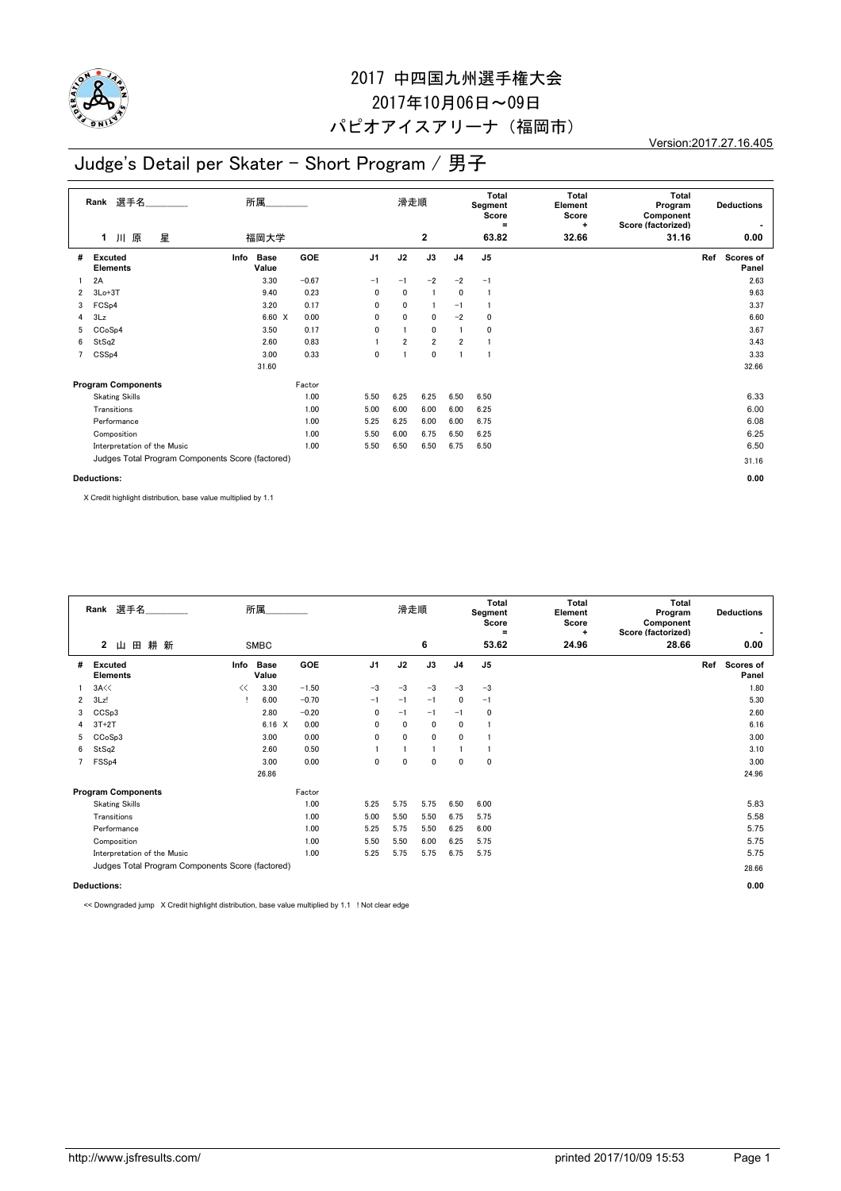

# 2017 中四国九州選手権大会 2017年10月06日~09日 パピオアイスアリーナ(福岡市)

Version:2017.27.16.405

## Judge's Detail per Skater - Short Program / 男子

| 選手名<br>Rank        |                                                  | 所属   |                      |         |                | 滑走順            |                |                | Total<br>Segment<br>Score<br>$\equiv$ | <b>Total</b><br>Element<br>Score<br>÷ | <b>Total</b><br>Program<br>Component<br>Score (factorized) | <b>Deductions</b> |                           |  |
|--------------------|--------------------------------------------------|------|----------------------|---------|----------------|----------------|----------------|----------------|---------------------------------------|---------------------------------------|------------------------------------------------------------|-------------------|---------------------------|--|
|                    | 星<br>1 川 原                                       |      | 福岡大学                 |         |                |                | $\mathbf{2}$   |                | 63.82                                 | 32.66                                 | 31.16                                                      |                   | 0.00                      |  |
| #                  | <b>Excuted</b><br><b>Elements</b>                | Info | <b>Base</b><br>Value | GOE     | J <sub>1</sub> | J2             | J3             | J <sub>4</sub> | J5                                    |                                       |                                                            | Ref               | <b>Scores of</b><br>Panel |  |
|                    | 2A                                               |      | 3.30                 | $-0.67$ | $-1$           | $-1$           | $-2$           | $-2$           | $-1$                                  |                                       |                                                            |                   | 2.63                      |  |
| $\overline{2}$     | $3Lo+3T$                                         |      | 9.40                 | 0.23    | 0              | 0              | $\mathbf{1}$   | 0              | 1                                     |                                       |                                                            |                   | 9.63                      |  |
| 3                  | FCS <sub>p4</sub>                                |      | 3.20                 | 0.17    | 0              | 0              |                | $-1$           |                                       |                                       |                                                            |                   | 3.37                      |  |
| 4                  | 3Lz                                              |      | 6.60 X               | 0.00    | $\mathbf{0}$   | $\mathbf{0}$   | $\mathbf 0$    | $-2$           | 0                                     |                                       |                                                            |                   | 6.60                      |  |
| 5                  | CCoSp4                                           |      | 3.50                 | 0.17    | 0              |                | 0              | $\mathbf{1}$   | 0                                     |                                       |                                                            |                   | 3.67                      |  |
| 6                  | StSq2                                            |      | 2.60                 | 0.83    |                | $\overline{2}$ | $\overline{2}$ | $\overline{2}$ |                                       |                                       |                                                            |                   | 3.43                      |  |
| $7^{\circ}$        | CSS <sub>p4</sub>                                |      | 3.00                 | 0.33    | 0              |                | 0              | $\overline{1}$ | 1                                     |                                       |                                                            |                   | 3.33                      |  |
|                    |                                                  |      | 31.60                |         |                |                |                |                |                                       |                                       |                                                            |                   | 32.66                     |  |
|                    | <b>Program Components</b>                        |      |                      | Factor  |                |                |                |                |                                       |                                       |                                                            |                   |                           |  |
|                    | <b>Skating Skills</b>                            |      |                      | 1.00    | 5.50           | 6.25           | 6.25           | 6.50           | 6.50                                  |                                       |                                                            |                   | 6.33                      |  |
|                    | Transitions                                      |      |                      | 1.00    | 5.00           | 6.00           | 6.00           | 6.00           | 6.25                                  |                                       |                                                            |                   | 6.00                      |  |
|                    | Performance                                      |      |                      | 1.00    | 5.25           | 6.25           | 6.00           | 6.00           | 6.75                                  |                                       |                                                            |                   | 6.08                      |  |
|                    | Composition                                      |      |                      | 1.00    | 5.50           | 6.00           | 6.75           | 6.50           | 6.25                                  |                                       |                                                            |                   | 6.25                      |  |
|                    | Interpretation of the Music                      |      |                      | 1.00    | 5.50           | 6.50           | 6.50           | 6.75           | 6.50                                  |                                       |                                                            |                   | 6.50                      |  |
|                    | Judges Total Program Components Score (factored) |      |                      |         |                |                |                |                |                                       |                                       |                                                            |                   | 31.16                     |  |
| <b>Deductions:</b> |                                                  |      |                      |         |                |                |                |                |                                       |                                       |                                                            | 0.00              |                           |  |

X Credit highlight distribution, base value multiplied by 1.1

|                    | Rank 選手名                                         |      | 所属                   |         |      | 滑走順  |             |                | Total<br>Segment<br>Score<br>$\equiv$ | <b>Total</b><br>Element<br>Score<br>÷ | Total<br>Program<br>Component<br>Score (factorized) | <b>Deductions</b>         |
|--------------------|--------------------------------------------------|------|----------------------|---------|------|------|-------------|----------------|---------------------------------------|---------------------------------------|-----------------------------------------------------|---------------------------|
|                    | $2 \quad \Box$<br>田耕新                            |      | <b>SMBC</b>          |         |      |      | 6           |                | 53.62                                 | 24.96                                 | 28.66                                               | 0.00                      |
| #                  | Excuted<br><b>Elements</b>                       | Info | <b>Base</b><br>Value | GOE     | J1   | J2   | J3          | J <sub>4</sub> | J <sub>5</sub>                        |                                       |                                                     | Ref<br>Scores of<br>Panel |
|                    | 3A<                                              | <<   | 3.30                 | $-1.50$ | $-3$ | $-3$ | $-3$        | $-3$           | $-3$                                  |                                       |                                                     | 1.80                      |
| $\overline{2}$     | 3Lz!                                             |      | 6.00                 | $-0.70$ | $-1$ | $-1$ | $-1$        | $\mathbf{0}$   | $-1$                                  |                                       |                                                     | 5.30                      |
| 3                  | CCS <sub>p3</sub>                                |      | 2.80                 | $-0.20$ | 0    | $-1$ | $-1$        | $-1$           | 0                                     |                                       |                                                     | 2.60                      |
| 4                  | $3T+2T$                                          |      | $6.16 \quad X$       | 0.00    | 0    | 0    | 0           | 0              |                                       |                                       |                                                     | 6.16                      |
| 5                  | CCoSp3                                           |      | 3.00                 | 0.00    | 0    | 0    | $\mathbf 0$ | $\mathbf 0$    |                                       |                                       |                                                     | 3.00                      |
| 6                  | StSq2                                            |      | 2.60                 | 0.50    |      |      |             |                |                                       |                                       |                                                     | 3.10                      |
| 7                  | FSS <sub>p4</sub>                                |      | 3.00                 | 0.00    | 0    | 0    | $\mathbf 0$ | 0              | 0                                     |                                       |                                                     | 3.00                      |
|                    |                                                  |      | 26.86                |         |      |      |             |                |                                       |                                       |                                                     | 24.96                     |
|                    | <b>Program Components</b>                        |      |                      | Factor  |      |      |             |                |                                       |                                       |                                                     |                           |
|                    | <b>Skating Skills</b>                            |      |                      | 1.00    | 5.25 | 5.75 | 5.75        | 6.50           | 6.00                                  |                                       |                                                     | 5.83                      |
|                    | Transitions                                      |      |                      | 1.00    | 5.00 | 5.50 | 5.50        | 6.75           | 5.75                                  |                                       |                                                     | 5.58                      |
|                    | Performance                                      |      |                      | 1.00    | 5.25 | 5.75 | 5.50        | 6.25           | 6.00                                  |                                       |                                                     | 5.75                      |
|                    | Composition                                      |      |                      | 1.00    | 5.50 | 5.50 | 6.00        | 6.25           | 5.75                                  |                                       |                                                     | 5.75                      |
|                    | Interpretation of the Music                      |      |                      | 1.00    | 5.25 | 5.75 | 5.75        | 6.75           | 5.75                                  |                                       |                                                     | 5.75                      |
|                    | Judges Total Program Components Score (factored) |      |                      |         |      |      |             |                |                                       |                                       |                                                     | 28.66                     |
| <b>Deductions:</b> |                                                  |      |                      |         |      |      |             |                |                                       |                                       | 0.00                                                |                           |

<< Downgraded jump X Credit highlight distribution, base value multiplied by 1.1 ! Not clear edge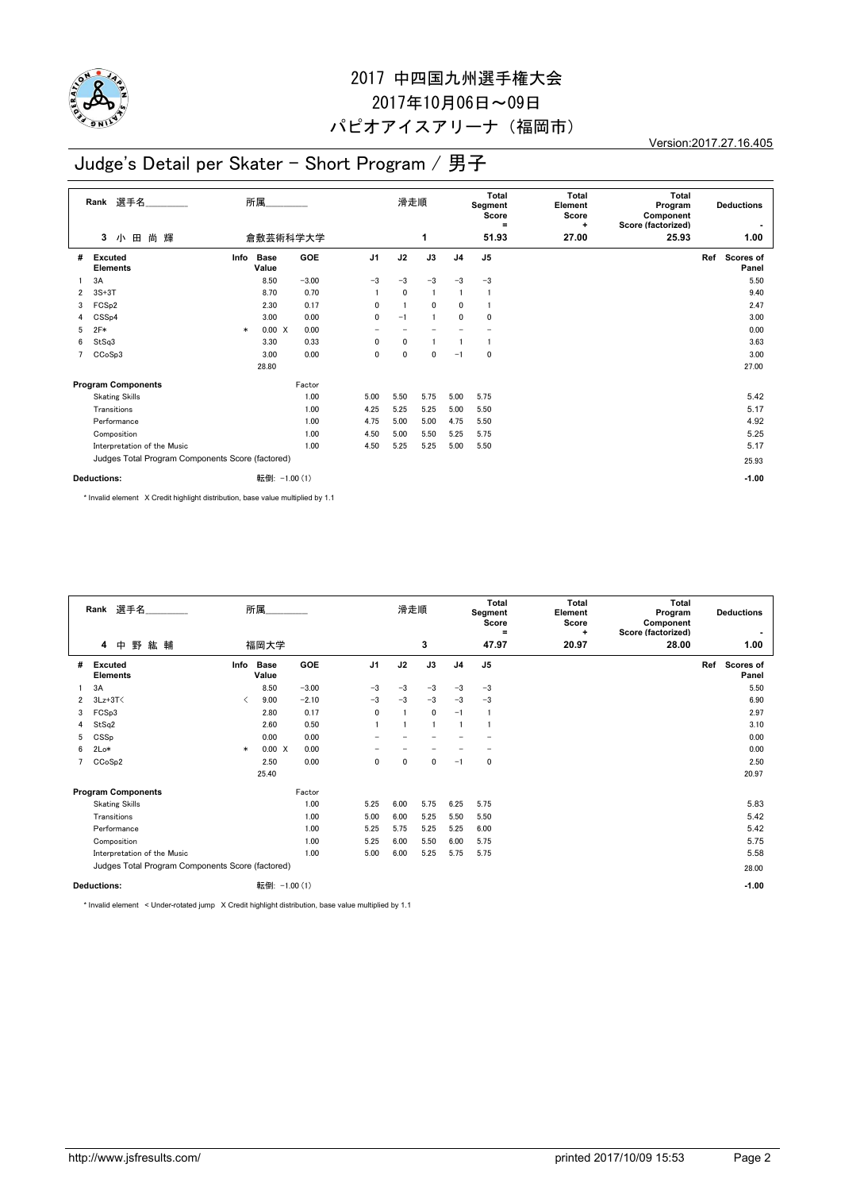

# 2017 中四国九州選手権大会 2017年10月06日~09日 パピオアイスアリーナ(福岡市)

Version:2017.27.16.405

## Judge's Detail per Skater - Short Program / 男子

| 選手名_________<br>Rank |                                                  | 所属     |                      |            |                          |      | 滑走順          |                | Total<br>Segment<br>Score<br>$\equiv$ | <b>Total</b><br>Element<br>Score<br>÷ | <b>Total</b><br>Program<br>Component<br>Score (factorized) | <b>Deductions</b><br>$\blacksquare$ |                        |
|----------------------|--------------------------------------------------|--------|----------------------|------------|--------------------------|------|--------------|----------------|---------------------------------------|---------------------------------------|------------------------------------------------------------|-------------------------------------|------------------------|
|                      | 小田<br>尚<br>3<br>輝                                |        |                      | 倉敷芸術科学大学   |                          |      | 1            |                | 51.93                                 | 27.00                                 | 25.93                                                      |                                     | 1.00                   |
| #                    | <b>Excuted</b><br><b>Elements</b>                | Info   | <b>Base</b><br>Value | <b>GOE</b> | J <sub>1</sub>           | J2   | J3           | J <sub>4</sub> | J5                                    |                                       |                                                            |                                     | Ref Scores of<br>Panel |
|                      | 3A                                               |        | 8.50                 | $-3.00$    | $-3$                     | $-3$ | $-3$         | $-3$           | $-3$                                  |                                       |                                                            |                                     | 5.50                   |
| $\overline{2}$       | $3S+3T$                                          |        | 8.70                 | 0.70       |                          | 0    | $\mathbf{1}$ | $\mathbf{1}$   |                                       |                                       |                                                            |                                     | 9.40                   |
| 3                    | FCS <sub>p2</sub>                                |        | 2.30                 | 0.17       | $\mathbf{0}$             |      | $\mathbf{0}$ | 0              |                                       |                                       |                                                            |                                     | 2.47                   |
| 4                    | CSS <sub>p4</sub>                                |        | 3.00                 | 0.00       | $\mathbf{0}$             | $-1$ |              | 0              | 0                                     |                                       |                                                            |                                     | 3.00                   |
| 5                    | $2F*$                                            | $\ast$ | 0.00 X               | 0.00       | $\overline{\phantom{0}}$ |      |              |                | $\overline{a}$                        |                                       |                                                            |                                     | 0.00                   |
| 6                    | StSq3                                            |        | 3.30                 | 0.33       | $\mathbf{0}$             | 0    |              |                | j                                     |                                       |                                                            |                                     | 3.63                   |
| 7                    | CCoSp3                                           |        | 3.00                 | 0.00       | $\mathbf{0}$             | 0    | $\mathbf{0}$ | $-1$           | $\mathbf{0}$                          |                                       |                                                            |                                     | 3.00                   |
|                      |                                                  |        | 28.80                |            |                          |      |              |                |                                       |                                       |                                                            |                                     | 27.00                  |
|                      | <b>Program Components</b>                        |        |                      | Factor     |                          |      |              |                |                                       |                                       |                                                            |                                     |                        |
|                      | <b>Skating Skills</b>                            |        |                      | 1.00       | 5.00                     | 5.50 | 5.75         | 5.00           | 5.75                                  |                                       |                                                            |                                     | 5.42                   |
|                      | Transitions                                      |        |                      | 1.00       | 4.25                     | 5.25 | 5.25         | 5.00           | 5.50                                  |                                       |                                                            |                                     | 5.17                   |
|                      | Performance                                      |        |                      | 1.00       | 4.75                     | 5.00 | 5.00         | 4.75           | 5.50                                  |                                       |                                                            |                                     | 4.92                   |
|                      | Composition                                      |        |                      | 1.00       | 4.50                     | 5.00 | 5.50         | 5.25           | 5.75                                  |                                       |                                                            |                                     | 5.25                   |
|                      | Interpretation of the Music                      |        |                      | 1.00       | 4.50                     | 5.25 | 5.25         | 5.00           | 5.50                                  |                                       |                                                            |                                     | 5.17                   |
|                      | Judges Total Program Components Score (factored) |        |                      |            |                          |      |              |                |                                       |                                       |                                                            |                                     | 25.93                  |
| <b>Deductions:</b>   |                                                  |        | 転倒: -1.00 (1)        |            |                          |      |              |                |                                       |                                       |                                                            | $-1.00$                             |                        |

\* Invalid element X Credit highlight distribution, base value multiplied by 1.1

|              | 選手名<br>Rank                                      | 所属                   |            |                          | 滑走順  |      |                | <b>Total</b><br>Segment<br>Score<br>$\equiv$ | <b>Total</b><br>Element<br>Score<br>٠ | Total<br>Program<br>Component<br>Score (factorized) | <b>Deductions</b>         |  |  |
|--------------|--------------------------------------------------|----------------------|------------|--------------------------|------|------|----------------|----------------------------------------------|---------------------------------------|-----------------------------------------------------|---------------------------|--|--|
|              | 野<br>$\overline{4}$<br>中<br>紘 輔                  | 福岡大学                 |            |                          |      | 3    |                | 47.97                                        | 20.97                                 | 28.00                                               | 1.00                      |  |  |
| #            | Info<br>Excuted<br><b>Elements</b>               | <b>Base</b><br>Value | <b>GOE</b> | J <sub>1</sub>           | J2   | J3   | J <sub>4</sub> | J <sub>5</sub>                               |                                       |                                                     | Ref<br>Scores of<br>Panel |  |  |
|              | 3A                                               | 8.50                 | $-3.00$    | $-3$                     | $-3$ | $-3$ | $-3$           | $-3$                                         |                                       |                                                     | 5.50                      |  |  |
| $\mathbf{2}$ | $3Lz + 3T$<br>≺                                  | 9.00                 | $-2.10$    | $-3$                     | $-3$ | $-3$ | $-3$           | $-3$                                         |                                       |                                                     | 6.90                      |  |  |
| 3            | FCSp3                                            | 2.80                 | 0.17       | 0                        |      | 0    | $-1$           | -1                                           |                                       |                                                     | 2.97                      |  |  |
| 4            | StSq2                                            | 2.60                 | 0.50       |                          |      |      |                |                                              |                                       |                                                     | 3.10                      |  |  |
| 5            | CSSp                                             | 0.00                 | 0.00       | $\overline{\phantom{0}}$ |      |      |                |                                              |                                       |                                                     | 0.00                      |  |  |
| 6            | $2Lo*$<br>$\ast$                                 | 0.00 X               | 0.00       |                          |      |      |                | $\overline{\phantom{0}}$                     |                                       |                                                     | 0.00                      |  |  |
| 7            | CCoSp2                                           | 2.50                 | 0.00       | 0                        | 0    | 0    | $-1$           | 0                                            |                                       |                                                     | 2.50                      |  |  |
|              |                                                  | 25.40                |            |                          |      |      |                |                                              |                                       |                                                     | 20.97                     |  |  |
|              | <b>Program Components</b>                        |                      | Factor     |                          |      |      |                |                                              |                                       |                                                     |                           |  |  |
|              | <b>Skating Skills</b>                            |                      | 1.00       | 5.25                     | 6.00 | 5.75 | 6.25           | 5.75                                         |                                       |                                                     | 5.83                      |  |  |
|              | Transitions                                      |                      | 1.00       | 5.00                     | 6.00 | 5.25 | 5.50           | 5.50                                         |                                       |                                                     | 5.42                      |  |  |
|              | Performance                                      |                      | 1.00       | 5.25                     | 5.75 | 5.25 | 5.25           | 6.00                                         |                                       |                                                     | 5.42                      |  |  |
|              | Composition                                      |                      | 1.00       | 5.25                     | 6.00 | 5.50 | 6.00           | 5.75                                         |                                       |                                                     | 5.75                      |  |  |
|              | Interpretation of the Music                      |                      | 1.00       | 5.00                     | 6.00 | 5.25 | 5.75           | 5.75                                         |                                       |                                                     | 5.58                      |  |  |
|              | Judges Total Program Components Score (factored) |                      |            |                          |      |      |                |                                              |                                       |                                                     | 28.00                     |  |  |
|              | <b>Deductions:</b>                               | 転倒: -1.00 (1)        |            |                          |      |      |                |                                              |                                       |                                                     | $-1.00$                   |  |  |

\* Invalid element < Under-rotated jump X Credit highlight distribution, base value multiplied by 1.1